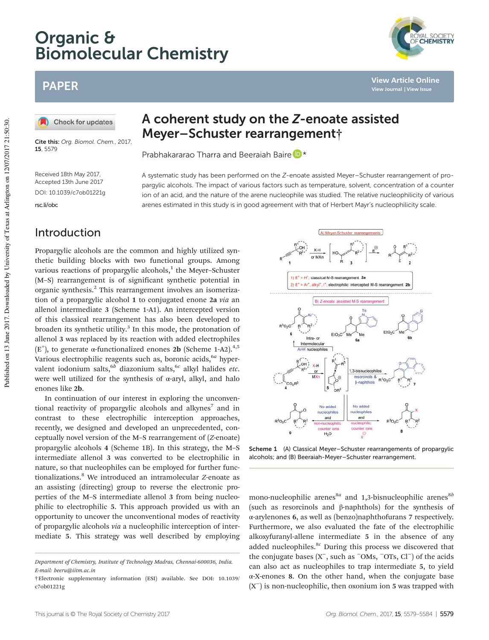# Organic & Biomolecular Chemistry

## PAPER

Check for updates

Cite this: Org. Biomol. Chem., 2017. 15, 5579

Received 18th May 2017, Accepted 13th June 2017 DOI: 10.1039/c7ob01221g

rsc.li/obc

## A coherent study on the Z-enoate assisted Meyer–Schuster rearrangement†

Prabhakararao Tharra and Beeraiah Baire

A systematic study has been performed on the Z-enoate assisted Meyer–Schuster rearrangement of propargylic alcohols. The impact of various factors such as temperature, solvent, concentration of a counter ion of an acid, and the nature of the arene nucleophile was studied. The relative nucleophilicity of various arenes estimated in this study is in good agreement with that of Herbert Mayr's nucleophilicity scale.

#### Introduction

Propargylic alcohols are the common and highly utilized synthetic building blocks with two functional groups. Among various reactions of propargylic alcohols,<sup>1</sup> the Meyer-Schuster (M–S) rearrangement is of significant synthetic potential in organic synthesis.<sup>2</sup> This rearrangement involves an isomerization of a propargylic alcohol 1 to conjugated enone 2a *via* an allenol intermediate 3 (Scheme 1-A1). An intercepted version of this classical rearrangement has also been developed to broaden its synthetic utility.<sup>3</sup> In this mode, the protonation of allenol 3 was replaced by its reaction with added electrophiles ( $E^+$ ), to generate  $\alpha$ -functionalized enones 2b (Scheme 1-A2).<sup>4,5</sup> Various electrophilic reagents such as, boronic acids, <sup>6a</sup> hypervalent iodonium salts,<sup>6*b*</sup> diazonium salts,<sup>6*c*</sup> alkyl halides *etc*. were well utilized for the synthesis of α-aryl, alkyl, and halo enones like 2b.

In continuation of our interest in exploring the unconventional reactivity of propargylic alcohols and alkynes<sup>7</sup> and in contrast to these electrophilic interception approaches, recently, we designed and developed an unprecedented, conceptually novel version of the M–S rearrangement of (*Z*-enoate) propargylic alcohols 4 (Scheme 1B). In this strategy, the M–S intermediate allenol 3 was converted to be electrophilic in nature, so that nucleophiles can be employed for further functionalizations.<sup>8</sup> We introduced an intramolecular *Z*-enoate as an assisting (directing) group to reverse the electronic properties of the M–S intermediate allenol 3 from being nucleophilic to electrophilic 5. This approach provided us with an opportunity to uncover the unconventional modes of reactivity of propargylic alcohols *via* a nucleophilic interception of intermediate 5. This strategy was well described by employing



Scheme 1 (A) Classical Meyer–Schuster rearrangements of propargylic alcohols; and (B) Beeraiah-Meyer–Schuster rearrangement.

mono-nucleophilic arenes<sup>8a</sup> and 1,3-bisnucleophilic arenes<sup>8b</sup> (such as resorcinols and β-naphthols) for the synthesis of α-arylenones 6, as well as (benzo)naphthofurans 7 respectively. Furthermore, we also evaluated the fate of the electrophilic alkoxyfuranyl-allene intermediate 5 in the absence of any added nucleophiles.<sup>8c</sup> During this process we discovered that the conjugate bases  $(X^-$ , such as  $^-$ OMs,  $^-$ OTs, Cl<sup>−</sup>) of the acids can also act as nucleophiles to trap intermediate 5, to yield α-X-enones 8. On the other hand, when the conjugate base (X− ) is non-nucleophilic, then oxonium ion 5 was trapped with



**View Article Online View Journal | View Issue**

*Department of Chemistry, Institute of Technology Madras, Chennai-600036, India. E-mail: beeru@iitm.ac.in*

<sup>†</sup>Electronic supplementary information (ESI) available. See DOI: 10.1039/ c7ob01221g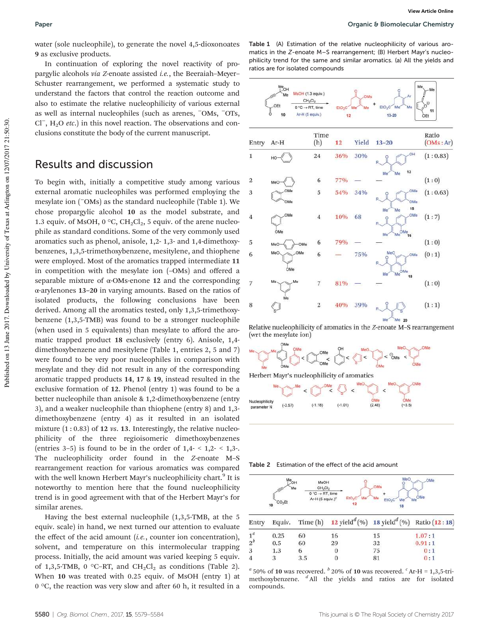water (sole nucleophile), to generate the novel 4,5-dioxonoates 9 as exclusive products.

In continuation of exploring the novel reactivity of propargylic alcohols *via Z*-enoate assisted *i.e.*, the Beeraiah–Meyer– Schuster rearrangement, we performed a systematic study to understand the factors that control the reaction outcome and also to estimate the relative nucleophilicity of various external as well as internal nucleophiles (such as arenes, <sup>−</sup>OMs, <sup>−</sup>OTs, Cl− , H2O *etc*.) in this novel reaction. The observations and conclusions constitute the body of the current manuscript.

#### Results and discussion

To begin with, initially a competitive study among various external aromatic nucleophiles was performed employing the mesylate ion (−OMs) as the standard nucleophile (Table 1). We chose propargylic alcohol 10 as the model substrate, and 1.3 equiv. of MsOH,  $0^{\circ}$ C, CH<sub>2</sub>Cl<sub>2</sub>, 5 equiv. of the arene nucleophile as standard conditions. Some of the very commonly used aromatics such as phenol, anisole, 1,2- 1,3- and 1,4-dimethoxybenzenes, 1,3,5-trimethoxybenzene, mesitylene, and thiophene were employed. Most of the aromatics trapped intermediate 11 in competition with the mesylate ion (–OMs) and offered a separable mixture of α-OMs-enone 12 and the corresponding α-arylenones 13–20 in varying amounts. Based on the ratios of isolated products, the following conclusions have been derived. Among all the aromatics tested, only 1,3,5-trimethoxybenzene (1,3,5-TMB) was found to be a stronger nucleophile (when used in 5 equivalents) than mesylate to afford the aromatic trapped product 18 exclusively (entry 6). Anisole, 1,4 dimethoxybenzene and mesitylene (Table 1, entries 2, 5 and 7) were found to be very poor nucleophiles in comparison with mesylate and they did not result in any of the corresponding aromatic trapped products 14, 17 & 19, instead resulted in the exclusive formation of 12. Phenol (entry 1) was found to be a better nucleophile than anisole & 1,2-dimethoxybenzene (entry 3), and a weaker nucleophile than thiophene (entry 8) and 1,3 dimethoxybenzene (entry 4) as it resulted in an isolated mixture (1 : 0.83) of 12 *vs*. 13. Interestingly, the relative nucleophilicity of the three regioisomeric dimethoxybenzenes (entries 3–5) is found to be in the order of  $1,4-1,2-1,3-1$ . The nucleophilicity order found in the *Z*-enoate M–S rearrangement reaction for various aromatics was compared with the well known Herbert Mayr's nucleophilicity chart.<sup>9</sup> It is noteworthy to mention here that the found nucleophilicity trend is in good agreement with that of the Herbert Mayr's for similar arenes.

Having the best external nucleophile (1,3,5-TMB, at the 5 equiv. scale) in hand, we next turned our attention to evaluate the effect of the acid amount (*i.e.*, counter ion concentration), solvent, and temperature on this intermolecular trapping process. Initially, the acid amount was varied keeping 5 equiv. of 1,3,5-TMB, 0 °C–RT, and  $CH_2Cl_2$  as conditions (Table 2). When 10 was treated with 0.25 equiv. of MsOH (entry 1) at 0 °C, the reaction was very slow and after 60 h, it resulted in a





Relative nucleophilicity of aromatics in the Z-enoate M-S rearrangement (wrt the mesylate ion)



Table 2 Estimation of the effect of the acid amount

|       | Me <sub>OH</sub><br>Me<br>CO <sub>2</sub> Et<br>10 | MsOH<br>$CH_2Cl_2$<br>$0^{\degree}C \rightarrow RT$ , time<br>Ar-H (5 equiv.) <sup>c</sup> | Me<br>EtO-<br>12 | MeO<br>OMs<br>Me<br>$EtO2C$ Me<br>18                                          | OMe<br>$N_{\text{Me}}$ <sup><math>\text{OMe}</math></sup> |  |
|-------|----------------------------------------------------|--------------------------------------------------------------------------------------------|------------------|-------------------------------------------------------------------------------|-----------------------------------------------------------|--|
| Entry | Equiv.                                             | Time(h)                                                                                    |                  | 12 yield <sup><math>d</math></sup> (%) 18 yield <sup><math>d</math></sup> (%) | Ratio (12:18)                                             |  |
| $1^a$ | 0.25                                               | 60                                                                                         | 16               | 15                                                                            | 1.07:1                                                    |  |
| $2^b$ | 0.5                                                | 60                                                                                         | 29               | 32                                                                            | 0.91:1                                                    |  |
| 3     | 1.3                                                | 6                                                                                          |                  | 75                                                                            | 0:1                                                       |  |
| 4     | 3                                                  | 3.5                                                                                        |                  | 81                                                                            | 0:1                                                       |  |

 $^a$  50% of 10 was recovered.  $^b$  20% of 10 was recovered.  $^c$  Ar-H = 1,3,5-trimethoxybenzene. *<sup>d</sup>* All the yields and ratios are for isolated compounds.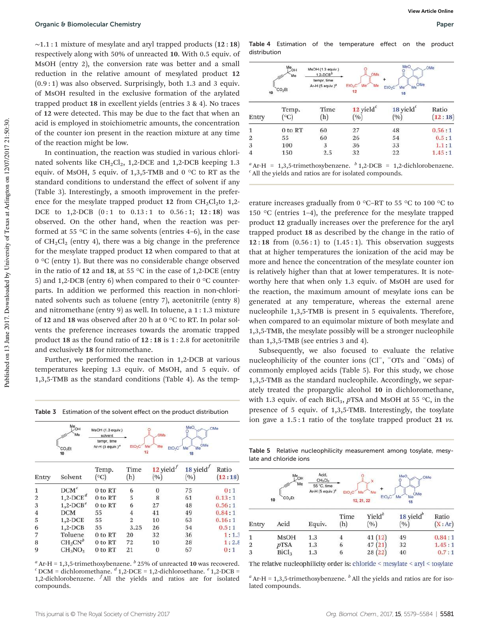$~\sim$ 1.1 : 1 mixture of mesylate and aryl trapped products (12 : 18) respectively along with 50% of unreacted 10. With 0.5 equiv. of MsOH (entry 2), the conversion rate was better and a small reduction in the relative amount of mesylated product 12  $(0.9:1)$  was also observed. Surprisingly, both 1.3 and 3 equiv. of MsOH resulted in the exclusive formation of the arylated trapped product 18 in excellent yields (entries 3 & 4). No traces of 12 were detected. This may be due to the fact that when an acid is employed in stoichiometric amounts, the concentration of the counter ion present in the reaction mixture at any time of the reaction might be low.

In continuation, the reaction was studied in various chlorinated solvents like  $CH_2Cl_2$ , 1,2-DCE and 1,2-DCB keeping 1.3 equiv. of MsOH, 5 equiv. of 1,3,5-TMB and 0 °C to RT as the standard conditions to understand the effect of solvent if any (Table 3). Interestingly, a smooth improvement in the preference for the mesylate trapped product 12 from  $CH_2Cl_2$ to 1,2-DCE to  $1,2$ -DCB  $(0:1$  to  $0.13:1$  to  $0.56:1$ ;  $12:18)$  was observed. On the other hand, when the reaction was performed at 55  $\degree$ C in the same solvents (entries 4–6), in the case of  $CH_2Cl_2$  (entry 4), there was a big change in the preference for the mesylate trapped product 12 when compared to that at 0 °C (entry 1). But there was no considerable change observed in the ratio of 12 and 18, at 55  $\degree$ C in the case of 1,2-DCE (entry 5) and 1,2-DCB (entry 6) when compared to their  $0^{\circ}$ C counterparts. In addition we performed this reaction in non-chlorinated solvents such as toluene (entry 7), acetonitrile (entry 8) and nitromethane (entry 9) as well. In toluene, a 1 : 1.3 mixture of 12 and 18 was observed after 20 h at 0 °C to RT. In polar solvents the preference increases towards the aromatic trapped product 18 as the found ratio of 12 : 18 is 1 : 2.8 for acetonitrile and exclusively 18 for nitromethane.

Further, we performed the reaction in 1,2-DCB at various temperatures keeping 1.3 equiv. of MsOH, and 5 equiv. of 1,3,5-TMB as the standard conditions (Table 4). As the temp-

|  |  |  |  | Table 3 Estimation of the solvent effect on the product distribution |
|--|--|--|--|----------------------------------------------------------------------|
|--|--|--|--|----------------------------------------------------------------------|

Table 4 Estimation of the temperature effect on the product distribution

| 10             | Me <sub>OH</sub><br>Me<br>CO <sub>2</sub> Et | MsOH (1.3 equiv.)<br>$1,2$ -DCB <sup>b</sup><br>tempr, time<br>Ar-H $(5$ equiv.) <sup>3</sup> | OMs<br>EtO <sub>2</sub> C <sup>'</sup> Me <sup>*</sup><br>Me<br>12 | MeO<br>$N_{\rm He}$ <sup>OMe</sup><br>EtO <sub>2</sub> C<br>Me<br>18<br>o pro | OMe              |
|----------------|----------------------------------------------|-----------------------------------------------------------------------------------------------|--------------------------------------------------------------------|-------------------------------------------------------------------------------|------------------|
| Entry          | Temp.<br>$\rm ^{\circ}C)$                    | Time<br>(h)                                                                                   | 12 yield $^c$<br>(%)                                               | 18 yield<br>(%)                                                               | Ratio<br>(12:18) |
| 1              | 0 to RT                                      | 60                                                                                            | 27                                                                 | 48                                                                            | 0.56:1           |
| $\overline{2}$ | 55                                           | 60                                                                                            | 26                                                                 | 54                                                                            | 0.5:1            |
| 3              | 100                                          | 3                                                                                             | 36                                                                 | 33                                                                            | 1.1:1            |
| 4              | 150                                          | 2.5                                                                                           | 32                                                                 | 22                                                                            | 1.45:1           |

 $^a$ Ar-H = 1,3,5-trimethoxybenzene.  $^b$  1,2-DCB = 1,2-dichlorobenzene. *c* All the yields and ratios are for isolated compounds.

erature increases gradually from 0 °C–RT to 55 °C to 100 °C to 150  $\degree$ C (entries 1–4), the preference for the mesylate trapped product 12 gradually increases over the preference for the aryl trapped product 18 as described by the change in the ratio of  $12:18$  from  $(0.56:1)$  to  $(1.45:1)$ . This observation suggests that at higher temperatures the ionization of the acid may be more and hence the concentration of the mesylate counter ion is relatively higher than that at lower temperatures. It is noteworthy here that when only 1.3 equiv. of MsOH are used for the reaction, the maximum amount of mesylate ions can be generated at any temperature, whereas the external arene nucleophile 1,3,5-TMB is present in 5 equivalents. Therefore, when compared to an equimolar mixture of both mesylate and 1,3,5-TMB, the mesylate possibly will be a stronger nucleophile than 1,3,5-TMB (see entries 3 and 4).

Subsequently, we also focused to evaluate the relative nucleophilicity of the counter ions (Cl<sup>−</sup>, <sup>−</sup>OTs and <sup>−</sup>OMs) of commonly employed acids (Table 5). For this study, we chose 1,3,5-TMB as the standard nucleophile. Accordingly, we separately treated the propargylic alcohol 10 in dichloromethane, with 1.3 equiv. of each BiCl<sub>3</sub>, *p*TSA and MsOH at 55 °C, in the presence of 5 equiv. of 1,3,5-TMB. Interestingly, the tosylate ion gave a 1.5 : 1 ratio of the tosylate trapped product 21 *vs.*

|                | Me <sub>OH</sub><br>Me<br>CO <sub>2</sub> Et<br>10 | MsOH (1.3 equiv.)<br>solvent<br>tempr, time<br>Ar-H (5 equiv.) <sup>a</sup> | EtO <sub>2</sub> C | <b>OMs</b><br>Me<br>Me<br>EIO <sub>2</sub> C<br>12 | MeO<br>Me <sup>OMe</sup><br>Me<br>18 <sup>1</sup> | OMe              |
|----------------|----------------------------------------------------|-----------------------------------------------------------------------------|--------------------|----------------------------------------------------|---------------------------------------------------|------------------|
| Entry          | Solvent                                            | Temp.<br>$(^{\circ}C)$                                                      | Time<br>(h)        | $12$ yield <sup><math>'</math></sup><br>(9/0)      | $18$ yield'<br>(%)                                | Ratio<br>(12:18) |
| $\mathbf{1}$   | $DCM^c$                                            | 0 to RT                                                                     | 6                  | $\Omega$                                           | 75                                                | 0:1              |
| $\overline{2}$ | $1,2$ -DCE <sup>d</sup>                            | 0 to RT                                                                     | 5                  | 8                                                  | 61                                                | 0.13:1           |
| 3              | $1,2$ -DCB <sup>e</sup>                            | 0 to RT                                                                     | 6                  | 27                                                 | 48                                                | 0.56:1           |
| $\overline{4}$ | <b>DCM</b>                                         | 55                                                                          | 4                  | 41                                                 | 49                                                | 0.84:1           |
| 5              | $1,2$ -DCE                                         | 55                                                                          | $\overline{2}$     | 10                                                 | 63                                                | 0.16:1           |
| 6              | $1,2$ -DCB                                         | 55                                                                          | 3.25               | 26                                                 | 54                                                | 0.5:1            |
| 7              | Toluene                                            | 0 to RT                                                                     | 20                 | 32                                                 | 36                                                | 1:1.3            |
| 8              | $CH_3CN^b$                                         | 0 to RT                                                                     | 72                 | 10                                                 | 28                                                | 1:2.8            |
| 9              | $CH_3NO_2$                                         | 0 to RT                                                                     | 21                 | $\theta$                                           | 67                                                | 0:1              |

*a* Ar-H = 1,3,5-trimethoxybenzene. *b* 25% of unreacted 10 was recovered.<br>*c* DCM = dichloromethane. *<sup><i>d*</sup> 1,2-DCE = 1,2-dichloroethane. *<sup><i>e*</sup> 1,2-DCB = 1,2-dichlorobenzene. *<sup>f</sup>* All the yields and ratios are for isolated compounds.

Table 5 Relative nucleophilicity measurement among tosylate, mesylate and chloride ions

|       | Acid,<br>Me <sub>OH</sub><br>MeO<br>OMe<br>$CH_2Cl_2$<br>Me<br>55 °C, time<br>Ar-H (5 equiv.) <sup>2</sup><br>EIO <sub>2</sub> C<br>Me<br><b>Me</b><br>OMe<br>E1O <sub>2</sub> C<br>Me<br>Me<br>CO <sub>2</sub> Et<br>10<br>12, 21, 22<br>18 |        |             |                           |                                                  |                 |
|-------|----------------------------------------------------------------------------------------------------------------------------------------------------------------------------------------------------------------------------------------------|--------|-------------|---------------------------|--------------------------------------------------|-----------------|
| Entry | Acid                                                                                                                                                                                                                                         | Equiv. | Time<br>(h) | Yield <sup>b</sup><br>(%) | $18$ yield <sup><math>\sigma</math></sup><br>(9) | Ratio<br>(X:Ar) |
|       | <b>MsOH</b>                                                                                                                                                                                                                                  | 1.3    |             | 41(12)                    | 49                                               | 0.84:1          |
| 2     | pTSA                                                                                                                                                                                                                                         | 1.3    | 6           | 47(21)                    | 32                                               | 1.45:1          |
| 3     | Bicl <sub>3</sub>                                                                                                                                                                                                                            | 1.3    | 6           | 28(22)                    | 40                                               | 0.7:1           |

The relative nucleophilicity order is: chloride < mesylate < aryl < tosylate

 $a<sup>a</sup>$  Ar-H = 1,3,5-trimethoxybenzene.  $b<sup>b</sup>$  All the yields and ratios are for isolated compounds.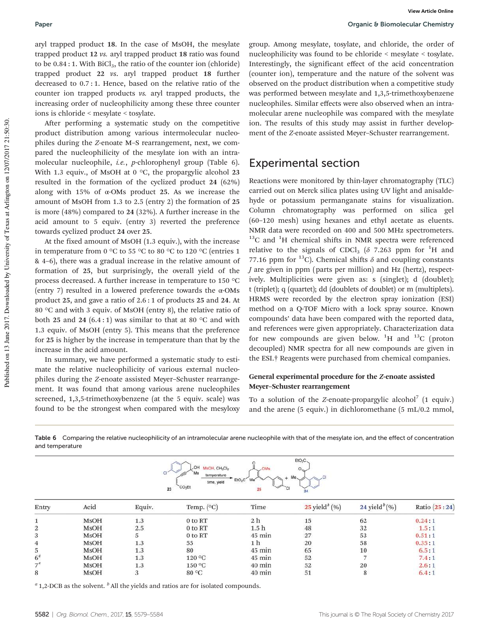aryl trapped product 18. In the case of MsOH, the mesylate trapped product 12 *vs.* aryl trapped product 18 ratio was found to be  $0.84:1$ . With  $BiCl<sub>3</sub>$ , the ratio of the counter ion (chloride) trapped product 22 *vs*. aryl trapped product 18 further decreased to 0.7 : 1. Hence, based on the relative ratio of the counter ion trapped products *vs.* aryl trapped products, the increasing order of nucleophilicity among these three counter ions is chloride < mesylate < tosylate.

After performing a systematic study on the competitive product distribution among various intermolecular nucleophiles during the *Z*-enoate M–S rearrangement, next, we compared the nucleophilicity of the mesylate ion with an intramolecular nucleophile, *i.e.*, *p*-chlorophenyl group (Table 6). With 1.3 equiv., of MsOH at 0  $\degree$ C, the propargylic alcohol 23 resulted in the formation of the cyclized product 24 (62%) along with 15% of  $\alpha$ -OMs product 25. As we increase the amount of MsOH from 1.3 to 2.5 (entry 2) the formation of 25 is more (48%) compared to 24 (32%). A further increase in the acid amount to 5 equiv. (entry 3) reverted the preference towards cyclized product 24 over 25.

At the fixed amount of MsOH (1.3 equiv.), with the increase in temperature from 0 °C to 55 °C to 80 °C to 120 °C (entries 1 & 4–6), there was a gradual increase in the relative amount of formation of 25, but surprisingly, the overall yield of the process decreased. A further increase in temperature to 150 °C (entry 7) resulted in a lowered preference towards the α-OMs product 25, and gave a ratio of 2.6 : 1 of products 25 and 24. At 80 °C and with 3 equiv. of MsOH (entry 8), the relative ratio of both 25 and 24  $(6.4:1)$  was similar to that at 80 °C and with 1.3 equiv. of MsOH (entry 5). This means that the preference for 25 is higher by the increase in temperature than that by the increase in the acid amount.

In summary, we have performed a systematic study to estimate the relative nucleophilicity of various external nucleophiles during the *Z*-enoate assisted Meyer–Schuster rearrangement. It was found that among various arene nucleophiles screened, 1,3,5-trimethoxybenzene (at the 5 equiv. scale) was found to be the strongest when compared with the mesyloxy group. Among mesylate, tosylate, and chloride, the order of nucleophilicity was found to be chloride < mesylate < tosylate. Interestingly, the significant effect of the acid concentration (counter ion), temperature and the nature of the solvent was observed on the product distribution when a competitive study was performed between mesylate and 1,3,5-trimethoxybenzene nucleophiles. Similar effects were also observed when an intramolecular arene nucleophile was compared with the mesylate ion. The results of this study may assist in further development of the *Z*-enoate assisted Meyer–Schuster rearrangement.

### Experimental section

Reactions were monitored by thin-layer chromatography (TLC) carried out on Merck silica plates using UV light and anisaldehyde or potassium permanganate stains for visualization. Column chromatography was performed on silica gel (60–120 mesh) using hexanes and ethyl acetate as eluents. NMR data were recorded on 400 and 500 MHz spectrometers.  $13C$  and  $1H$  chemical shifts in NMR spectra were referenced relative to the signals of CDCl<sub>3</sub> ( $\delta$  7.263 ppm for <sup>1</sup>H and 77.16 ppm for <sup>13</sup>C). Chemical shifts  $\delta$  and coupling constants *J* are given in ppm (parts per million) and Hz (hertz), respectively. Multiplicities were given as: s (singlet); d (doublet); t (triplet); q (quartet); dd (doublets of doublet) or m (multiplets). HRMS were recorded by the electron spray ionization (ESI) method on a Q-TOF Micro with a lock spray source. Known compounds' data have been compared with the reported data, and references were given appropriately. Characterization data for new compounds are given below.  ${}^{1}H$  and  ${}^{13}C$  (proton decoupled) NMR spectra for all new compounds are given in the ESI.† Reagents were purchased from chemical companies.

#### General experimental procedure for the Z-enoate assisted Meyer–Schuster rearrangement

To a solution of the *Z*-enoate-propargylic alcohol<sup>7</sup> (1 equiv.) and the arene (5 equiv.) in dichloromethane (5 mL/0.2 mmol,

 $EtO<sub>2</sub>C$ OH MsOH, CH2Cl2  $\circ$ Me temperature EtO<sub>2</sub>C .<br>Me time, yield CO<sub>2</sub>E  $23$ 25 Entry Acid Equiv. Temp. (°C) Time  $25$  yield<sup>b</sup> (%) 24 yield<sup>b</sup> $(\%)$ Ratio (25:24)  $1.3$  $2<sub>h</sub>$ 15 62  $0.24:1$ **MsOH** 0 to RT  $\mathbf{1}$  $\overline{2}$ **MsOH**  $2.5$ 0 to RT  $1.5<sub>h</sub>$ 48 32  $1.5:1$ 3 **MsOH** 5 0 to RT 45 min 27 53  $0.51:1$  $\overline{4}$ **MsOH** 1.3 55  $1<sub>h</sub>$ 20 58  $0.35:1$ 5 **MsOH**  $1.3$ 80 45 min 65 10  $6.5:1$ 120 °C  $6<sup>6</sup>$ **MsOH**  $1.3$  $45 \text{ min}$ 52 7  $7.4:1$  $7<sup>a</sup>$ **MsOH** 1.3 150 °C 40 min 52 20  $2.6:1$ 8 **MsOH** 3 80 °C 40 min 51 8  $6.4:1$ 

Table 6 Comparing the relative nucleophilicity of an intramolecular arene nucleophile with that of the mesylate ion, and the effect of concentration

<sup>*a*</sup> 1,2-DCB as the solvent. <sup>*b*</sup> All the yields and ratios are for isolated compounds.

and temperature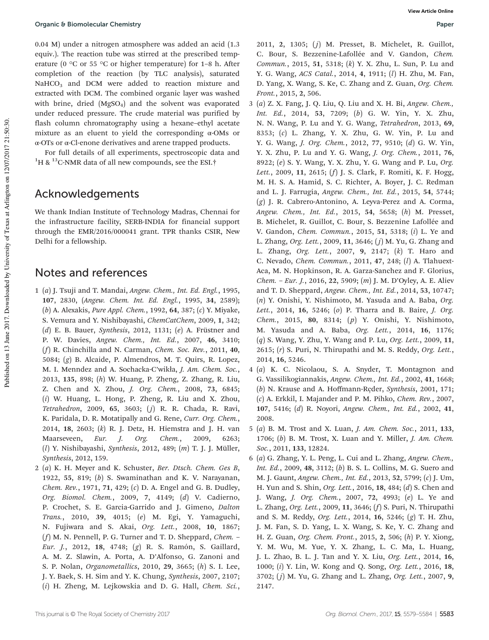0.04 M) under a nitrogen atmosphere was added an acid (1.3 equiv.). The reaction tube was stirred at the prescribed temperature (0  $\degree$ C or 55  $\degree$ C or higher temperature) for 1–8 h. After completion of the reaction (by TLC analysis), saturated NaHCO<sub>3</sub> and DCM were added to reaction mixture and extracted with DCM. The combined organic layer was washed with brine, dried  $(MgSO<sub>4</sub>)$  and the solvent was evaporated under reduced pressure. The crude material was purified by flash column chromatography using a hexane–ethyl acetate mixture as an eluent to yield the corresponding α-OMs or α-OTs or α-Cl-enone derivatives and arene trapped products.

For full details of all experiments, spectroscopic data and <sup>1</sup>H & <sup>13</sup>C-NMR data of all new compounds, see the ESI.<sup>†</sup>

#### Acknowledgements

We thank Indian Institute of Technology Madras, Chennai for the infrastructure facility, SERB-INDIA for financial support through the EMR/2016/000041 grant. TPR thanks CSIR, New Delhi for a fellowship.

### Notes and references

- 1 (*a*) J. Tsuji and T. Mandai, *Angew. Chem., Int. Ed. Engl.*, 1995, 107, 2830, (*Angew. Chem. Int. Ed. Engl.*, 1995, 34, 2589); (*b*) A. Alexakis, *Pure Appl. Chem.*, 1992, 64, 387; (*c*) Y. Miyake, S. Vemura and Y. Nishibayashi, *ChemCatChem*, 2009, 1, 342; (*d*) E. B. Bauer, *Synthesis*, 2012, 1131; (*e*) A. Früstner and P. W. Davies, *Angew. Chem., Int. Ed.*, 2007, 46, 3410; (*f*) R. Chinchilla and N. Carman, *Chem. Soc. Rev.*, 2011, 40, 5084; (*g*) B. Alcaide, P. Almendros, M. T. Quirs, R. Lopez, M. I. Menndez and A. Sochacka-C'wikła, *J. Am. Chem. Soc.*, 2013, 135, 898; (*h*) W. Huang, P. Zheng, Z. Zhang, R. Liu, Z. Chen and X. Zhou, *J. Org. Chem.*, 2008, 73, 6845; (*i*) W. Huang, L. Hong, P. Zheng, R. Liu and X. Zhou, *Tetrahedron*, 2009, 65, 3603; (j) R. R. Chada, R. Ravi, K. Paridala, D. R. Motatipally and G. Rene, *Curr. Org. Chem.*, 2014, 18, 2603; (*k*) R. J. Detz, H. Hiemstra and J. H. van Maarseveen, *Eur. J. Org. Chem.*, 2009, 6263; (*l*) Y. Nishibayashi, *Synthesis*, 2012, 489; (*m*) T. J. J. Müller, *Synthesis*, 2012, 159.
- 2 (*a*) K. H. Meyer and K. Schuster, *Ber. Dtsch. Chem. Ges B*, 1922, 55, 819; (*b*) S. Swaminathan and K. V. Narayanan, *Chem. Rev.*, 1971, 71, 429; (*c*) D. A. Engel and G. B. Dudley, *Org. Biomol. Chem.*, 2009, 7, 4149; (*d*) V. Cadierno, P. Crochet, S. E. Garcia-Garrido and J. Gimeno, *Dalton Trans.*, 2010, 39, 4015; (*e*) M. Egi, Y. Yamaguchi, N. Fujiwara and S. Akai, *Org. Lett.*, 2008, 10, 1867; (*f*) M. N. Pennell, P. G. Turner and T. D. Sheppard, *Chem.* – *Eur. J.*, 2012, 18, 4748; (*g*) R. S. Ramón, S. Gaillard, A. M. Z. Slawin, A. Porta, A. D'Alfonso, G. Zanoni and S. P. Nolan, *Organometallics*, 2010, 29, 3665; (*h*) S. I. Lee, J. Y. Baek, S. H. Sim and Y. K. Chung, *Synthesis*, 2007, 2107; (*i*) H. Zheng, M. Lejkowskia and D. G. Hall, *Chem. Sci.*,

2011, 2, 1305; (*j*) M. Presset, B. Michelet, R. Guillot, C. Bour, S. Bezzenine-Lafollée and V. Gandon, *Chem. Commun.*, 2015, 51, 5318; (*k*) Y. X. Zhu, L. Sun, P. Lu and Y. G. Wang, *ACS Catal.*, 2014, 4, 1911; (*l*) H. Zhu, M. Fan, D. Yang, X. Wang, S. Ke, C. Zhang and Z. Guan, *Org. Chem. Front.*, 2015, 2, 506.

- 3 (*a*) Z. X. Fang, J. Q. Liu, Q. Liu and X. H. Bi, *Angew. Chem., Int. Ed.*, 2014, 53, 7209; (*b*) G. W. Yin, Y. X. Zhu, N. N. Wang, P. Lu and Y. G. Wang, *Tetrahedron*, 2013, 69, 8353; (*c*) L. Zhang, Y. X. Zhu, G. W. Yin, P. Lu and Y. G. Wang, *J. Org. Chem.*, 2012, 77, 9510; (*d*) G. W. Yin, Y. X. Zhu, P. Lu and Y. G. Wang, *J. Org. Chem.*, 2011, 76, 8922; (*e*) S. Y. Wang, Y. X. Zhu, Y. G. Wang and P. Lu, *Org. Lett.*, 2009, 11, 2615; (*f*) J. S. Clark, F. Romiti, K. F. Hogg, M. H. S. A. Hamid, S. C. Richter, A. Boyer, J. C. Redman and L. J. Farrugia, *Angew. Chem., Int. Ed.*, 2015, 54, 5744; (*g*) J. R. Cabrero-Antonino, A. Leyva-Perez and A. Corma, *Angew. Chem., Int. Ed.*, 2015, 54, 5658; (*h*) M. Presset, B. Michelet, R. Guillot, C. Bour, S. Bezzenine Lafollée and V. Gandon, *Chem. Commun.*, 2015, 51, 5318; (*i*) L. Ye and L. Zhang, *Org. Lett.*, 2009, 11, 3646; ( *j*) M. Yu, G. Zhang and L. Zhang, *Org. Lett.*, 2007, 9, 2147; (*k*) T. Haro and C. Nevado, *Chem. Commun.*, 2011, 47, 248; (*l*) A. Tlahuext-Aca, M. N. Hopkinson, R. A. Garza-Sanchez and F. Glorius, *Chem.* – *Eur. J.*, 2016, 22, 5909; (*m*) J. M. D'Oyley, A. E. Aliev and T. D. Sheppard, *Angew. Chem., Int. Ed.*, 2014, 53, 10747; (*n*) Y. Onishi, Y. Nishimoto, M. Yasuda and A. Baba, *Org. Lett.*, 2014, 16, 5246; (*o*) P. Tharra and B. Baire, *J. Org. Chem.*, 2015, 80, 8314; (*p*) Y. Onishi, Y. Nishimoto, M. Yasuda and A. Baba, *Org. Lett.*, 2014, 16, 1176; (*q*) S. Wang, Y. Zhu, Y. Wang and P. Lu, *Org. Lett.*, 2009, 11, 2615; (*r*) S. Puri, N. Thirupathi and M. S. Reddy, *Org. Lett.*, 2014, 16, 5246.
- 4 (*a*) K. C. Nicolaou, S. A. Snyder, T. Montagnon and G. Vassilikogiannakis, *Angew. Chem., Int. Ed.*, 2002, 41, 1668; (*b*) N. Krause and A. Hoffmann-Rçder, *Synthesis*, 2001, 171; (*c*) A. Erkkil, I. Majander and P. M. Pihko, *Chem. Rev.*, 2007, 107, 5416; (*d*) R. Noyori, *Angew. Chem., Int. Ed.*, 2002, 41, 2008.
- 5 (*a*) B. M. Trost and X. Luan, *J. Am. Chem. Soc.*, 2011, 133, 1706; (*b*) B. M. Trost, X. Luan and Y. Miller, *J. Am. Chem. Soc.*, 2011, 133, 12824.
- 6 (*a*) G. Zhang, Y. L. Peng, L. Cui and L. Zhang, *Angew. Chem., Int. Ed.*, 2009, 48, 3112; (*b*) B. S. L. Collins, M. G. Suero and M. J. Gaunt, *Angew. Chem., Int. Ed.*, 2013, 52, 5799; (*c*) J. Um, H. Yun and S. Shin, *Org. Lett.*, 2016, 18, 484; (*d*) S. Chen and J. Wang, *J. Org. Chem.*, 2007, 72, 4993; (*e*) L. Ye and L. Zhang, *Org. Lett.*, 2009, 11, 3646; (*f*) S. Puri, N. Thirupathi and S. M. Reddy, *Org. Lett.*, 2014, 16, 5246; (*g*) T. H. Zhu, J. M. Fan, S. D. Yang, L. X. Wang, S. Ke, Y. C. Zhang and H. Z. Guan, *Org. Chem. Front.*, 2015, 2, 506; (*h*) P. Y. Xiong, Y. M. Wu, M. Yue, Y. X. Zhang, L. C. Ma, L. Huang, J. L. Zhao, B. L. J. Tan and Y. X. Liu, *Org. Lett.*, 2014, 16, 1000; (*i*) Y. Lin, W. Kong and Q. Song, *Org. Lett.*, 2016, 18, 3702; ( *j*) M. Yu, G. Zhang and L. Zhang, *Org. Lett.*, 2007, 9, 2147.